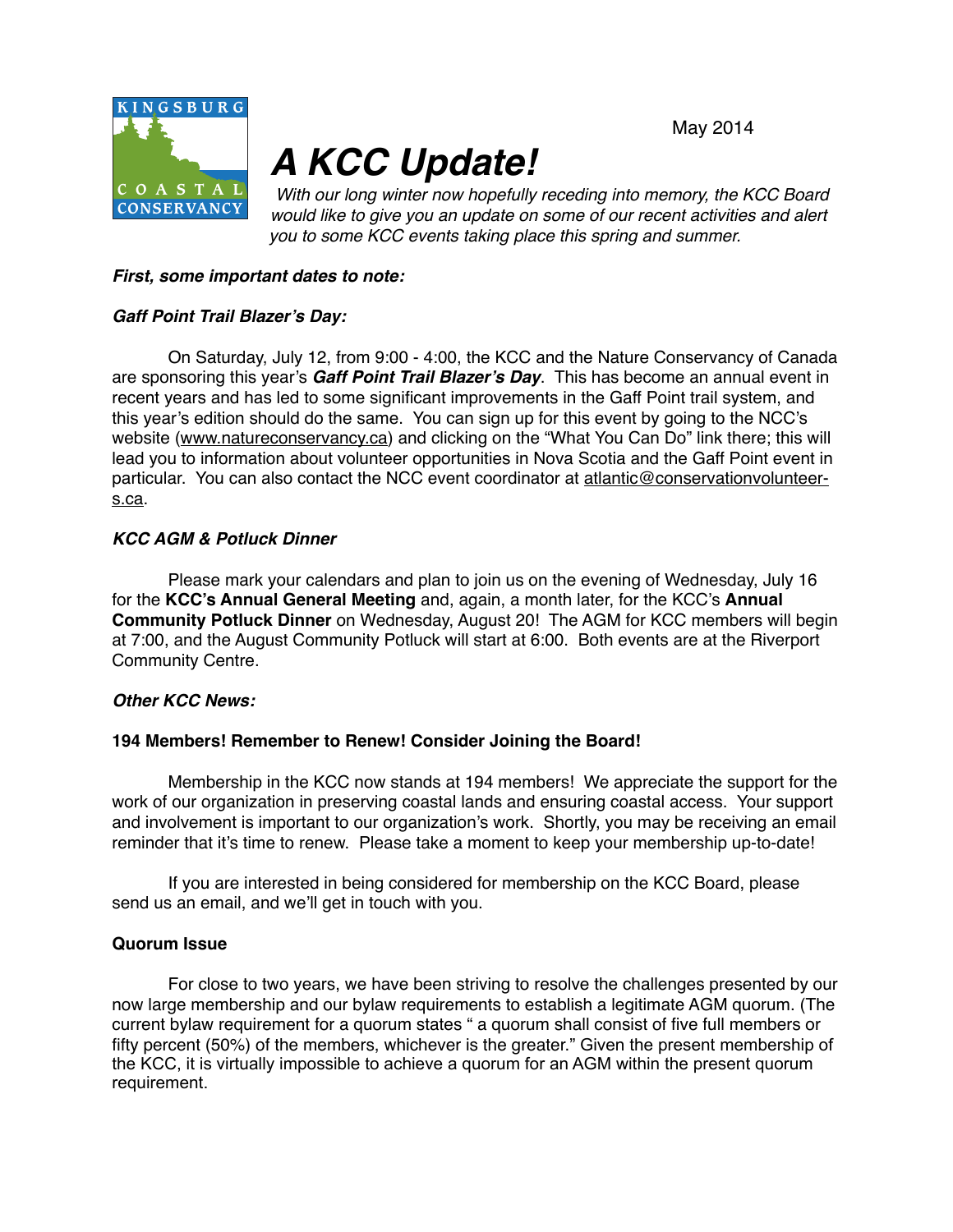May 2014



# *A KCC Update!*

*With our long winter now hopefully receding into memory, the KCC Board would like to give you an update on some of our recent activities and alert you to some KCC events taking place this spring and summer.* 

## *First, some important dates to note:*

# *Gaff Point Trail Blazer's Day:*

On Saturday, July 12, from 9:00 - 4:00, the KCC and the Nature Conservancy of Canada are sponsoring this year's *Gaff Point Trail Blazer's Day*. This has become an annual event in recent years and has led to some significant improvements in the Gaff Point trail system, and this year's edition should do the same. You can sign up for this event by going to the NCC's website [\(www.natureconservancy.ca](http://www.natureconservancy.ca)) and clicking on the "What You Can Do" link there; this will lead you to information about volunteer opportunities in Nova Scotia and the Gaff Point event in particular. You can also contact the NCC event coordinator at atlantic@conservationvolunteers.ca.

# *KCC AGM & Potluck Dinner*

Please mark your calendars and plan to join us on the evening of Wednesday, July 16 for the **KCC's Annual General Meeting** and, again, a month later, for the KCC's **Annual Community Potluck Dinner** on Wednesday, August 20! The AGM for KCC members will begin at 7:00, and the August Community Potluck will start at 6:00. Both events are at the Riverport Community Centre.

## *Other KCC News:*

## **194 Members! Remember to Renew! Consider Joining the Board!**

Membership in the KCC now stands at 194 members! We appreciate the support for the work of our organization in preserving coastal lands and ensuring coastal access. Your support and involvement is important to our organization's work. Shortly, you may be receiving an email reminder that it's time to renew. Please take a moment to keep your membership up-to-date!

If you are interested in being considered for membership on the KCC Board, please send us an email, and we'll get in touch with you.

## **Quorum Issue**

For close to two years, we have been striving to resolve the challenges presented by our now large membership and our bylaw requirements to establish a legitimate AGM quorum. (The current bylaw requirement for a quorum states " a quorum shall consist of five full members or fifty percent (50%) of the members, whichever is the greater." Given the present membership of the KCC, it is virtually impossible to achieve a quorum for an AGM within the present quorum requirement.